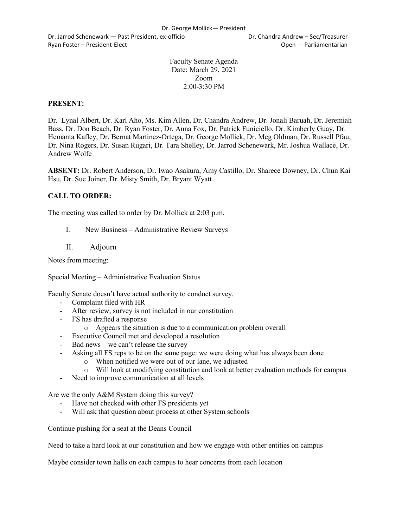Dr. Jarrod Schenewark — Past President, ex-officio Dr. Chandra Andrew – Sec/Treasurer Ryan Foster – President-Elect Controller Controller Controller Controller Controller Controller Controller Controller Controller Controller Controller Controller Controller Controller Controller Controller Controller Contr

Faculty Senate Agenda Date: March 29, 2021 Zoom 2:00-3:30 PM

## **PRESENT:**

Dr. Lynal Albert, Dr. Karl Aho, Ms. Kim Allen, Dr. Chandra Andrew, Dr. Jonali Baruah, Dr. Jeremiah Bass, Dr. Don Beach, Dr. Ryan Foster, Dr. Anna Fox, Dr. Patrick Funiciello, Dr. Kimberly Guay, Dr. Hemanta Kafley, Dr. Bernat Martinez-Ortega, Dr. George Mollick, Dr. Meg Oldman, Dr. Russell Pfau, Dr. Nina Rogers, Dr. Susan Rugari, Dr. Tara Shelley, Dr. Jarrod Schenewark, Mr. Joshua Wallace, Dr. Andrew Wolfe

**ABSENT:** Dr. Robert Anderson, Dr. Iwao Asakura, Amy Castillo, Dr. Sharece Downey, Dr. Chun Kai Hsu, Dr. Sue Joiner, Dr. Misty Smith, Dr. Bryant Wyatt

## **CALL TO ORDER:**

The meeting was called to order by Dr. Mollick at 2:03 p.m.

- I. New Business Administrative Review Surveys
- II. Adjourn

Notes from meeting:

Special Meeting – Administrative Evaluation Status

Faculty Senate doesn't have actual authority to conduct survey.

- Complaint filed with HR
- After review, survey is not included in our constitution
- FS has drafted a response
	- o Appears the situation is due to a communication problem overall
- Executive Council met and developed a resolution
- Bad news we can't release the survey
- Asking all FS reps to be on the same page: we were doing what has always been done
	- o When notified we were out of our lane, we adjusted
	- o Will look at modifying constitution and look at better evaluation methods for campus
- Need to improve communication at all levels

Are we the only A&M System doing this survey?

- Have not checked with other FS presidents yet
- Will ask that question about process at other System schools

Continue pushing for a seat at the Deans Council

Need to take a hard look at our constitution and how we engage with other entities on campus

Maybe consider town halls on each campus to hear concerns from each location